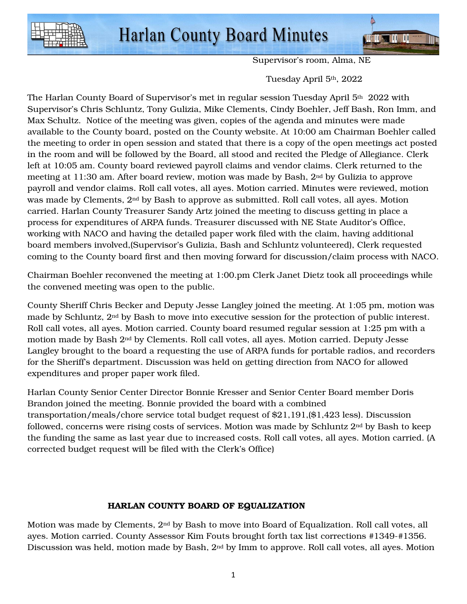

Supervisor's room, Alma, NE

Tuesday April 5th, 2022

The Harlan County Board of Supervisor's met in regular session Tuesday April 5<sup>th</sup> 2022 with Supervisor's Chris Schluntz, Tony Gulizia, Mike Clements, Cindy Boehler, Jeff Bash, Ron Imm, and Max Schultz. Notice of the meeting was given, copies of the agenda and minutes were made available to the County board, posted on the County website. At 10:00 am Chairman Boehler called the meeting to order in open session and stated that there is a copy of the open meetings act posted in the room and will be followed by the Board, all stood and recited the Pledge of Allegiance. Clerk left at 10:05 am. County board reviewed payroll claims and vendor claims. Clerk returned to the meeting at 11:30 am. After board review, motion was made by Bash, 2nd by Gulizia to approve payroll and vendor claims. Roll call votes, all ayes. Motion carried. Minutes were reviewed, motion was made by Clements, 2nd by Bash to approve as submitted. Roll call votes, all ayes. Motion carried. Harlan County Treasurer Sandy Artz joined the meeting to discuss getting in place a process for expenditures of ARPA funds. Treasurer discussed with NE State Auditor's Office, working with NACO and having the detailed paper work filed with the claim, having additional board members involved,(Supervisor's Gulizia, Bash and Schluntz volunteered), Clerk requested coming to the County board first and then moving forward for discussion/claim process with NACO.

Chairman Boehler reconvened the meeting at 1:00.pm Clerk Janet Dietz took all proceedings while the convened meeting was open to the public.

County Sheriff Chris Becker and Deputy Jesse Langley joined the meeting. At 1:05 pm, motion was made by Schluntz, 2nd by Bash to move into executive session for the protection of public interest. Roll call votes, all ayes. Motion carried. County board resumed regular session at 1:25 pm with a motion made by Bash 2nd by Clements. Roll call votes, all ayes. Motion carried. Deputy Jesse Langley brought to the board a requesting the use of ARPA funds for portable radios, and recorders for the Sheriff's department. Discussion was held on getting direction from NACO for allowed expenditures and proper paper work filed.

Harlan County Senior Center Director Bonnie Kresser and Senior Center Board member Doris Brandon joined the meeting. Bonnie provided the board with a combined transportation/meals/chore service total budget request of \$21,191,(\$1,423 less). Discussion followed, concerns were rising costs of services. Motion was made by Schluntz  $2<sup>nd</sup>$  by Bash to keep the funding the same as last year due to increased costs. Roll call votes, all ayes. Motion carried. (A corrected budget request will be filed with the Clerk's Office)

## HARLAN COUNTY BOARD OF EQUALIZATION

Motion was made by Clements, 2nd by Bash to move into Board of Equalization. Roll call votes, all ayes. Motion carried. County Assessor Kim Fouts brought forth tax list corrections #1349-#1356. Discussion was held, motion made by Bash, 2nd by Imm to approve. Roll call votes, all ayes. Motion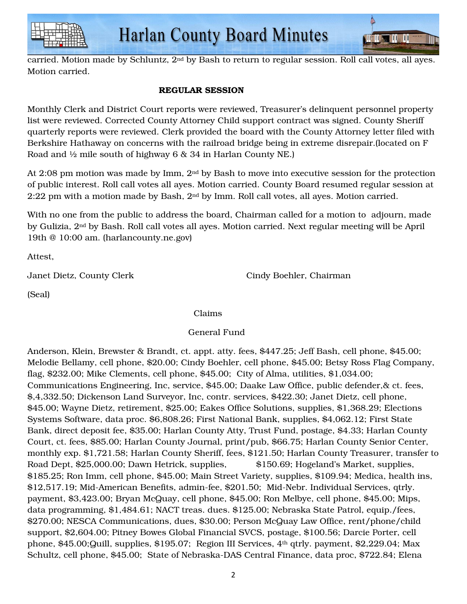



carried. Motion made by Schluntz, 2nd by Bash to return to regular session. Roll call votes, all ayes. Motion carried.

## REGULAR SESSION

Monthly Clerk and District Court reports were reviewed, Treasurer's delinquent personnel property list were reviewed. Corrected County Attorney Child support contract was signed. County Sheriff quarterly reports were reviewed. Clerk provided the board with the County Attorney letter filed with Berkshire Hathaway on concerns with the railroad bridge being in extreme disrepair.(located on F Road and ½ mile south of highway 6 & 34 in Harlan County NE.)

At 2:08 pm motion was made by Imm, 2nd by Bash to move into executive session for the protection of public interest. Roll call votes all ayes. Motion carried. County Board resumed regular session at 2:22 pm with a motion made by Bash, 2nd by Imm. Roll call votes, all ayes. Motion carried.

With no one from the public to address the board, Chairman called for a motion to adjourn, made by Gulizia, 2nd by Bash. Roll call votes all ayes. Motion carried. Next regular meeting will be April 19th @ 10:00 am. (harlancounty.ne.gov)

Attest,

Janet Dietz, County Clerk Cindy Boehler, Chairman

(Seal)

## Claims

## General Fund

Anderson, Klein, Brewster & Brandt, ct. appt. atty. fees, \$447.25; Jeff Bash, cell phone, \$45.00; Melodie Bellamy, cell phone, \$20.00; Cindy Boehler, cell phone, \$45.00; Betsy Ross Flag Company, flag, \$232.00; Mike Clements, cell phone, \$45.00; City of Alma, utilities, \$1,034.00; Communications Engineering, Inc, service, \$45.00; Daake Law Office, public defender,& ct. fees, \$,4,332.50; Dickenson Land Surveyor, Inc, contr. services, \$422.30; Janet Dietz, cell phone, \$45.00; Wayne Dietz, retirement, \$25.00; Eakes Office Solutions, supplies, \$1,368.29; Elections Systems Software, data proc. \$6,808.26; First National Bank, supplies, \$4,062.12; First State Bank, direct deposit fee, \$35.00; Harlan County Atty, Trust Fund, postage, \$4.33; Harlan County Court, ct. fees, \$85.00; Harlan County Journal, print/pub, \$66.75; Harlan County Senior Center, monthly exp. \$1,721.58; Harlan County Sheriff, fees, \$121.50; Harlan County Treasurer, transfer to Road Dept, \$25,000.00; Dawn Hetrick, supplies, \$150.69; Hogeland's Market, supplies, \$185.25; Ron Imm, cell phone, \$45.00; Main Street Variety, supplies, \$109.94; Medica, health ins, \$12,517.19; Mid-American Benefits, admin-fee, \$201.50; Mid-Nebr. Individual Services, qtrly. payment, \$3,423.00; Bryan McQuay, cell phone, \$45.00; Ron Melbye, cell phone, \$45.00; Mips, data programming, \$1,484.61; NACT treas. dues. \$125.00; Nebraska State Patrol, equip./fees, \$270.00; NESCA Communications, dues, \$30.00; Person McQuay Law Office, rent/phone/child support, \$2,604.00; Pitney Bowes Global Financial SVCS, postage, \$100.56; Darcie Porter, cell phone, \$45.00;Quill, supplies, \$195.07; Region III Services, 4th qtrly. payment, \$2,229.04; Max Schultz, cell phone, \$45.00; State of Nebraska-DAS Central Finance, data proc, \$722.84; Elena